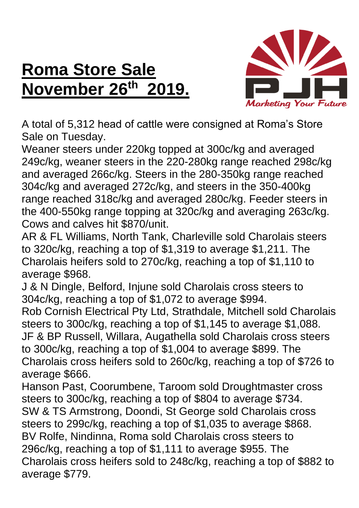## **Roma Store Sale November 26 th 2019.**



A total of 5,312 head of cattle were consigned at Roma's Store Sale on Tuesday.

Weaner steers under 220kg topped at 300c/kg and averaged 249c/kg, weaner steers in the 220-280kg range reached 298c/kg and averaged 266c/kg. Steers in the 280-350kg range reached 304c/kg and averaged 272c/kg, and steers in the 350-400kg range reached 318c/kg and averaged 280c/kg. Feeder steers in the 400-550kg range topping at 320c/kg and averaging 263c/kg. Cows and calves hit \$870/unit.

AR & FL Williams, North Tank, Charleville sold Charolais steers to 320c/kg, reaching a top of \$1,319 to average \$1,211. The Charolais heifers sold to 270c/kg, reaching a top of \$1,110 to average \$968.

J & N Dingle, Belford, Injune sold Charolais cross steers to 304c/kg, reaching a top of \$1,072 to average \$994.

Rob Cornish Electrical Pty Ltd, Strathdale, Mitchell sold Charolais steers to 300c/kg, reaching a top of \$1,145 to average \$1,088. JF & BP Russell, Willara, Augathella sold Charolais cross steers to 300c/kg, reaching a top of \$1,004 to average \$899. The Charolais cross heifers sold to 260c/kg, reaching a top of \$726 to average \$666.

Hanson Past, Coorumbene, Taroom sold Droughtmaster cross steers to 300c/kg, reaching a top of \$804 to average \$734. SW & TS Armstrong, Doondi, St George sold Charolais cross steers to 299c/kg, reaching a top of \$1,035 to average \$868. BV Rolfe, Nindinna, Roma sold Charolais cross steers to 296c/kg, reaching a top of \$1,111 to average \$955. The Charolais cross heifers sold to 248c/kg, reaching a top of \$882 to average \$779.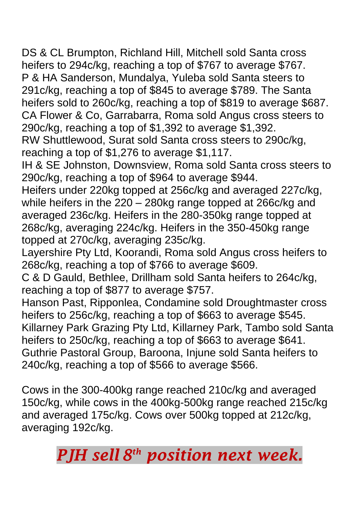DS & CL Brumpton, Richland Hill, Mitchell sold Santa cross heifers to 294c/kg, reaching a top of \$767 to average \$767. P & HA Sanderson, Mundalya, Yuleba sold Santa steers to 291c/kg, reaching a top of \$845 to average \$789. The Santa heifers sold to 260c/kg, reaching a top of \$819 to average \$687. CA Flower & Co, Garrabarra, Roma sold Angus cross steers to 290c/kg, reaching a top of \$1,392 to average \$1,392.

RW Shuttlewood, Surat sold Santa cross steers to 290c/kg, reaching a top of \$1,276 to average \$1,117.

IH & SE Johnston, Downsview, Roma sold Santa cross steers to 290c/kg, reaching a top of \$964 to average \$944.

Heifers under 220kg topped at 256c/kg and averaged 227c/kg, while heifers in the 220 – 280kg range topped at 266c/kg and averaged 236c/kg. Heifers in the 280-350kg range topped at 268c/kg, averaging 224c/kg. Heifers in the 350-450kg range topped at 270c/kg, averaging 235c/kg.

Layershire Pty Ltd, Koorandi, Roma sold Angus cross heifers to 268c/kg, reaching a top of \$766 to average \$609.

C & D Gauld, Bethlee, Drillham sold Santa heifers to 264c/kg, reaching a top of \$877 to average \$757.

Hanson Past, Ripponlea, Condamine sold Droughtmaster cross heifers to 256c/kg, reaching a top of \$663 to average \$545. Killarney Park Grazing Pty Ltd, Killarney Park, Tambo sold Santa heifers to 250c/kg, reaching a top of \$663 to average \$641. Guthrie Pastoral Group, Baroona, Injune sold Santa heifers to 240c/kg, reaching a top of \$566 to average \$566.

Cows in the 300-400kg range reached 210c/kg and averaged 150c/kg, while cows in the 400kg-500kg range reached 215c/kg and averaged 175c/kg. Cows over 500kg topped at 212c/kg, averaging 192c/kg.

*PJH sell 8 th position next week.*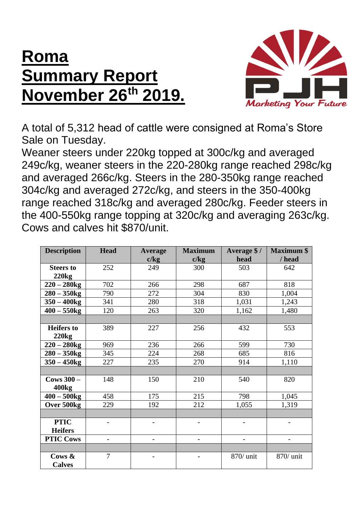## **Roma Summary Report November 26th 2019.**



A total of 5,312 head of cattle were consigned at Roma's Store Sale on Tuesday.

Weaner steers under 220kg topped at 300c/kg and averaged 249c/kg, weaner steers in the 220-280kg range reached 298c/kg and averaged 266c/kg. Steers in the 280-350kg range reached 304c/kg and averaged 272c/kg, and steers in the 350-400kg range reached 318c/kg and averaged 280c/kg. Feeder steers in the 400-550kg range topping at 320c/kg and averaging 263c/kg. Cows and calves hit \$870/unit.

| <b>Description</b> | <b>Head</b>              | <b>Average</b> | <b>Maximum</b>           | Average \$/ | <b>Maximum \$</b> |
|--------------------|--------------------------|----------------|--------------------------|-------------|-------------------|
|                    |                          | c/kg           | c/kg                     | head        | / head            |
| <b>Steers to</b>   | 252                      | 249            | 300                      | 503         | 642               |
| 220kg              |                          |                |                          |             |                   |
| $220 - 280$ kg     | 702                      | 266            | 298                      | 687         | 818               |
| $280 - 350$ kg     | 790                      | 272            | 304                      | 830         | 1,004             |
| $350 - 400$ kg     | 341                      | 280            | 318                      | 1,031       | 1,243             |
| $400 - 550$ kg     | 120                      | 263            | 320                      | 1,162       | 1,480             |
|                    |                          |                |                          |             |                   |
| <b>Heifers</b> to  | 389                      | 227            | 256                      | 432         | 553               |
| 220kg              |                          |                |                          |             |                   |
| $220 - 280$ kg     | 969                      | 236            | 266                      | 599         | 730               |
| $280 - 350$ kg     | 345                      | 224            | 268                      | 685         | 816               |
| $350 - 450$ kg     | 227                      | 235            | 270                      | 914         | 1,110             |
|                    |                          |                |                          |             |                   |
| $Cows 300 -$       | 148                      | 150            | 210                      | 540         | 820               |
| 400kg              |                          |                |                          |             |                   |
| $400 - 500$ kg     | 458                      | 175            | 215                      | 798         | 1,045             |
| Over 500kg         | 229                      | 192            | 212                      | 1,055       | 1,319             |
|                    |                          |                |                          |             |                   |
| <b>PTIC</b>        |                          |                | $\overline{\phantom{0}}$ |             |                   |
| <b>Heifers</b>     |                          |                |                          |             |                   |
| <b>PTIC Cows</b>   | $\overline{\phantom{0}}$ | -              | $\overline{\phantom{0}}$ |             |                   |
|                    |                          |                |                          |             |                   |
| Cows &             | $\overline{7}$           |                |                          | 870/ unit   | 870/ unit         |
| <b>Calves</b>      |                          |                |                          |             |                   |